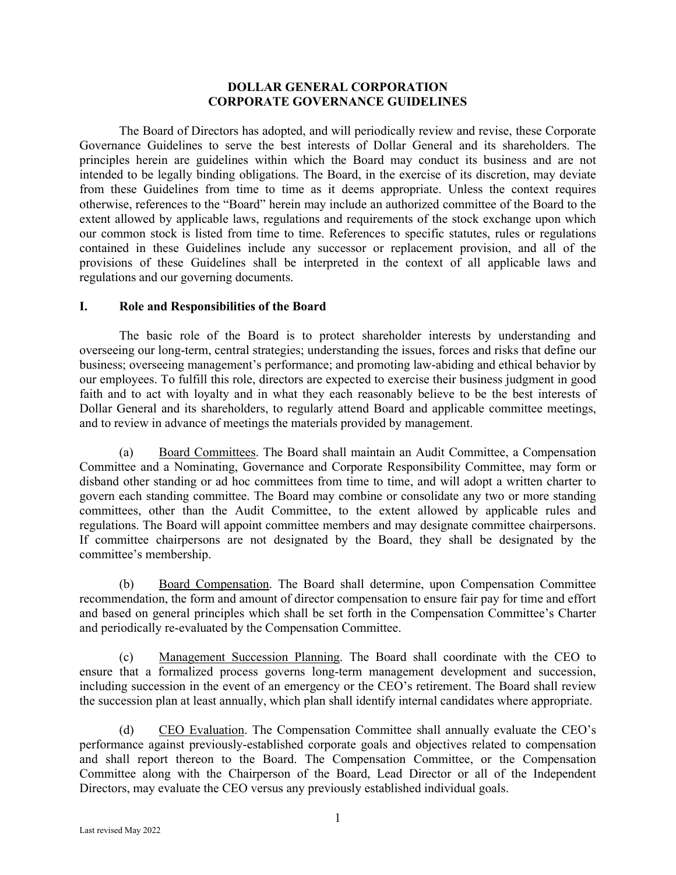### **DOLLAR GENERAL CORPORATION CORPORATE GOVERNANCE GUIDELINES**

 The Board of Directors has adopted, and will periodically review and revise, these Corporate Governance Guidelines to serve the best interests of Dollar General and its shareholders. The principles herein are guidelines within which the Board may conduct its business and are not intended to be legally binding obligations. The Board, in the exercise of its discretion, may deviate from these Guidelines from time to time as it deems appropriate. Unless the context requires otherwise, references to the "Board" herein may include an authorized committee of the Board to the extent allowed by applicable laws, regulations and requirements of the stock exchange upon which our common stock is listed from time to time. References to specific statutes, rules or regulations contained in these Guidelines include any successor or replacement provision, and all of the provisions of these Guidelines shall be interpreted in the context of all applicable laws and regulations and our governing documents.

#### **I. Role and Responsibilities of the Board**

The basic role of the Board is to protect shareholder interests by understanding and overseeing our long-term, central strategies; understanding the issues, forces and risks that define our business; overseeing management's performance; and promoting law-abiding and ethical behavior by our employees. To fulfill this role, directors are expected to exercise their business judgment in good faith and to act with loyalty and in what they each reasonably believe to be the best interests of Dollar General and its shareholders, to regularly attend Board and applicable committee meetings, and to review in advance of meetings the materials provided by management.

(a) Board Committees. The Board shall maintain an Audit Committee, a Compensation Committee and a Nominating, Governance and Corporate Responsibility Committee, may form or disband other standing or ad hoc committees from time to time, and will adopt a written charter to govern each standing committee. The Board may combine or consolidate any two or more standing committees, other than the Audit Committee, to the extent allowed by applicable rules and regulations. The Board will appoint committee members and may designate committee chairpersons. If committee chairpersons are not designated by the Board, they shall be designated by the committee's membership.

 (b) Board Compensation. The Board shall determine, upon Compensation Committee recommendation, the form and amount of director compensation to ensure fair pay for time and effort and based on general principles which shall be set forth in the Compensation Committee's Charter and periodically re-evaluated by the Compensation Committee.

 (c) Management Succession Planning. The Board shall coordinate with the CEO to ensure that a formalized process governs long-term management development and succession, including succession in the event of an emergency or the CEO's retirement. The Board shall review the succession plan at least annually, which plan shall identify internal candidates where appropriate.

 (d) CEO Evaluation. The Compensation Committee shall annually evaluate the CEO's performance against previously-established corporate goals and objectives related to compensation and shall report thereon to the Board. The Compensation Committee, or the Compensation Committee along with the Chairperson of the Board, Lead Director or all of the Independent Directors, may evaluate the CEO versus any previously established individual goals.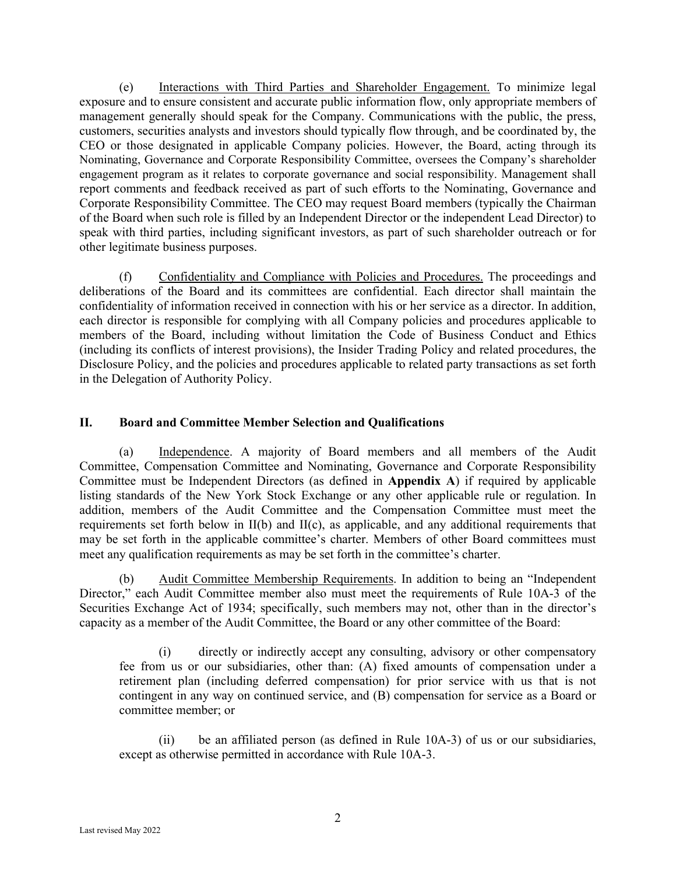(e) Interactions with Third Parties and Shareholder Engagement. To minimize legal exposure and to ensure consistent and accurate public information flow, only appropriate members of management generally should speak for the Company. Communications with the public, the press, customers, securities analysts and investors should typically flow through, and be coordinated by, the CEO or those designated in applicable Company policies. However, the Board, acting through its Nominating, Governance and Corporate Responsibility Committee, oversees the Company's shareholder engagement program as it relates to corporate governance and social responsibility. Management shall report comments and feedback received as part of such efforts to the Nominating, Governance and Corporate Responsibility Committee. The CEO may request Board members (typically the Chairman of the Board when such role is filled by an Independent Director or the independent Lead Director) to speak with third parties, including significant investors, as part of such shareholder outreach or for other legitimate business purposes.

 (f) Confidentiality and Compliance with Policies and Procedures. The proceedings and deliberations of the Board and its committees are confidential. Each director shall maintain the confidentiality of information received in connection with his or her service as a director. In addition, each director is responsible for complying with all Company policies and procedures applicable to members of the Board, including without limitation the Code of Business Conduct and Ethics (including its conflicts of interest provisions), the Insider Trading Policy and related procedures, the Disclosure Policy, and the policies and procedures applicable to related party transactions as set forth in the Delegation of Authority Policy.

# **II. Board and Committee Member Selection and Qualifications**

 (a) Independence. A majority of Board members and all members of the Audit Committee, Compensation Committee and Nominating, Governance and Corporate Responsibility Committee must be Independent Directors (as defined in **Appendix A**) if required by applicable listing standards of the New York Stock Exchange or any other applicable rule or regulation. In addition, members of the Audit Committee and the Compensation Committee must meet the requirements set forth below in II(b) and II(c), as applicable, and any additional requirements that may be set forth in the applicable committee's charter. Members of other Board committees must meet any qualification requirements as may be set forth in the committee's charter.

(b) Audit Committee Membership Requirements. In addition to being an "Independent Director," each Audit Committee member also must meet the requirements of Rule 10A-3 of the Securities Exchange Act of 1934; specifically, such members may not, other than in the director's capacity as a member of the Audit Committee, the Board or any other committee of the Board:

 (i) directly or indirectly accept any consulting, advisory or other compensatory fee from us or our subsidiaries, other than: (A) fixed amounts of compensation under a retirement plan (including deferred compensation) for prior service with us that is not contingent in any way on continued service, and (B) compensation for service as a Board or committee member; or

 (ii) be an affiliated person (as defined in Rule 10A-3) of us or our subsidiaries, except as otherwise permitted in accordance with Rule 10A-3.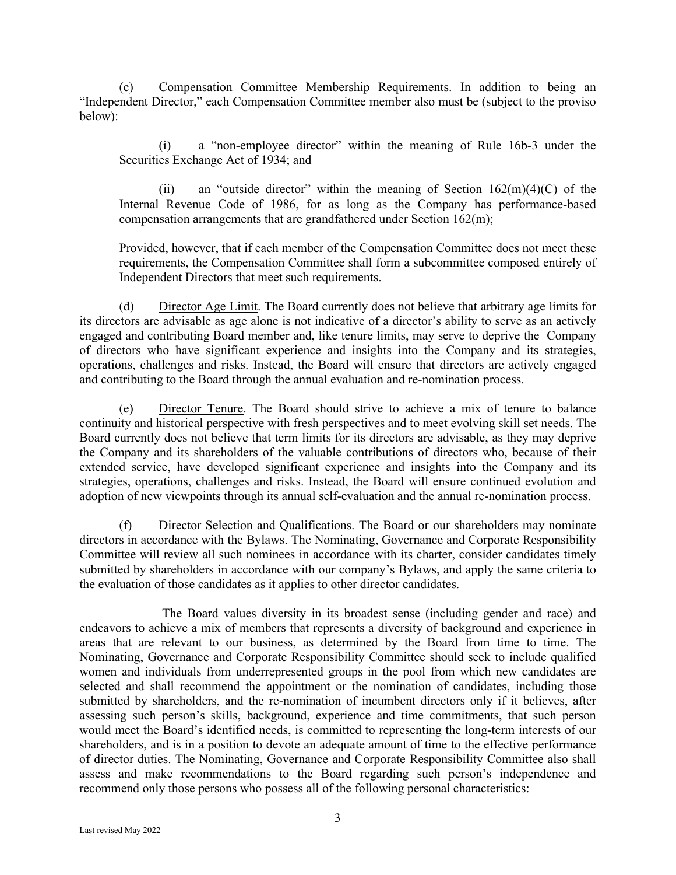(c) Compensation Committee Membership Requirements. In addition to being an "Independent Director," each Compensation Committee member also must be (subject to the proviso below):

 (i) a "non-employee director" within the meaning of Rule 16b-3 under the Securities Exchange Act of 1934; and

(ii) an "outside director" within the meaning of Section  $162(m)(4)(C)$  of the Internal Revenue Code of 1986, for as long as the Company has performance-based compensation arrangements that are grandfathered under Section 162(m);

 Provided, however, that if each member of the Compensation Committee does not meet these requirements, the Compensation Committee shall form a subcommittee composed entirely of Independent Directors that meet such requirements.

(d) Director Age Limit. The Board currently does not believe that arbitrary age limits for its directors are advisable as age alone is not indicative of a director's ability to serve as an actively engaged and contributing Board member and, like tenure limits, may serve to deprive the Company of directors who have significant experience and insights into the Company and its strategies, operations, challenges and risks. Instead, the Board will ensure that directors are actively engaged and contributing to the Board through the annual evaluation and re-nomination process.

(e) Director Tenure. The Board should strive to achieve a mix of tenure to balance continuity and historical perspective with fresh perspectives and to meet evolving skill set needs. The Board currently does not believe that term limits for its directors are advisable, as they may deprive the Company and its shareholders of the valuable contributions of directors who, because of their extended service, have developed significant experience and insights into the Company and its strategies, operations, challenges and risks. Instead, the Board will ensure continued evolution and adoption of new viewpoints through its annual self-evaluation and the annual re-nomination process.

(f) Director Selection and Qualifications. The Board or our shareholders may nominate directors in accordance with the Bylaws. The Nominating, Governance and Corporate Responsibility Committee will review all such nominees in accordance with its charter, consider candidates timely submitted by shareholders in accordance with our company's Bylaws, and apply the same criteria to the evaluation of those candidates as it applies to other director candidates.

The Board values diversity in its broadest sense (including gender and race) and endeavors to achieve a mix of members that represents a diversity of background and experience in areas that are relevant to our business, as determined by the Board from time to time. The Nominating, Governance and Corporate Responsibility Committee should seek to include qualified women and individuals from underrepresented groups in the pool from which new candidates are selected and shall recommend the appointment or the nomination of candidates, including those submitted by shareholders, and the re-nomination of incumbent directors only if it believes, after assessing such person's skills, background, experience and time commitments, that such person would meet the Board's identified needs, is committed to representing the long-term interests of our shareholders, and is in a position to devote an adequate amount of time to the effective performance of director duties. The Nominating, Governance and Corporate Responsibility Committee also shall assess and make recommendations to the Board regarding such person's independence and recommend only those persons who possess all of the following personal characteristics: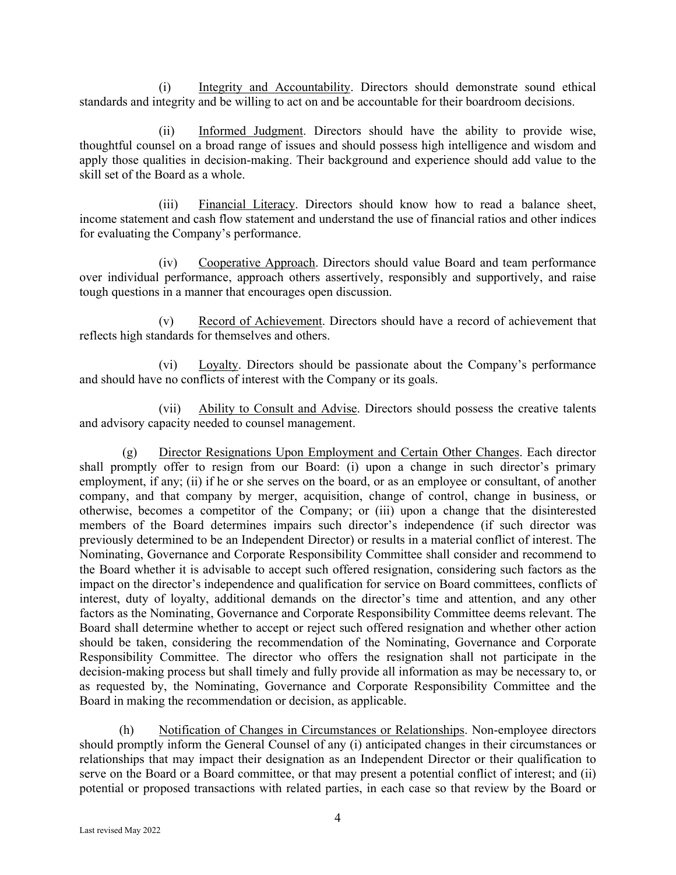(i) Integrity and Accountability. Directors should demonstrate sound ethical standards and integrity and be willing to act on and be accountable for their boardroom decisions.

 (ii) Informed Judgment. Directors should have the ability to provide wise, thoughtful counsel on a broad range of issues and should possess high intelligence and wisdom and apply those qualities in decision-making. Their background and experience should add value to the skill set of the Board as a whole.

 (iii) Financial Literacy. Directors should know how to read a balance sheet, income statement and cash flow statement and understand the use of financial ratios and other indices for evaluating the Company's performance.

 (iv) Cooperative Approach. Directors should value Board and team performance over individual performance, approach others assertively, responsibly and supportively, and raise tough questions in a manner that encourages open discussion.

 (v) Record of Achievement. Directors should have a record of achievement that reflects high standards for themselves and others.

 (vi) Loyalty. Directors should be passionate about the Company's performance and should have no conflicts of interest with the Company or its goals.

 (vii) Ability to Consult and Advise. Directors should possess the creative talents and advisory capacity needed to counsel management.

 (g) Director Resignations Upon Employment and Certain Other Changes. Each director shall promptly offer to resign from our Board: (i) upon a change in such director's primary employment, if any; (ii) if he or she serves on the board, or as an employee or consultant, of another company, and that company by merger, acquisition, change of control, change in business, or otherwise, becomes a competitor of the Company; or (iii) upon a change that the disinterested members of the Board determines impairs such director's independence (if such director was previously determined to be an Independent Director) or results in a material conflict of interest. The Nominating, Governance and Corporate Responsibility Committee shall consider and recommend to the Board whether it is advisable to accept such offered resignation, considering such factors as the impact on the director's independence and qualification for service on Board committees, conflicts of interest, duty of loyalty, additional demands on the director's time and attention, and any other factors as the Nominating, Governance and Corporate Responsibility Committee deems relevant. The Board shall determine whether to accept or reject such offered resignation and whether other action should be taken, considering the recommendation of the Nominating, Governance and Corporate Responsibility Committee. The director who offers the resignation shall not participate in the decision-making process but shall timely and fully provide all information as may be necessary to, or as requested by, the Nominating, Governance and Corporate Responsibility Committee and the Board in making the recommendation or decision, as applicable.

(h) Notification of Changes in Circumstances or Relationships. Non-employee directors should promptly inform the General Counsel of any (i) anticipated changes in their circumstances or relationships that may impact their designation as an Independent Director or their qualification to serve on the Board or a Board committee, or that may present a potential conflict of interest; and (ii) potential or proposed transactions with related parties, in each case so that review by the Board or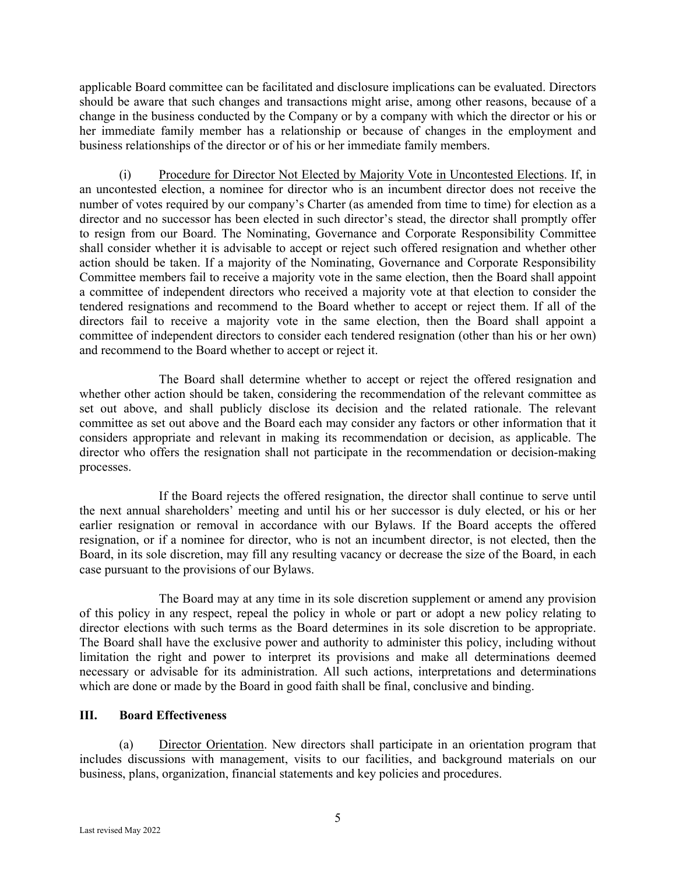applicable Board committee can be facilitated and disclosure implications can be evaluated. Directors should be aware that such changes and transactions might arise, among other reasons, because of a change in the business conducted by the Company or by a company with which the director or his or her immediate family member has a relationship or because of changes in the employment and business relationships of the director or of his or her immediate family members.

(i) Procedure for Director Not Elected by Majority Vote in Uncontested Elections. If, in an uncontested election, a nominee for director who is an incumbent director does not receive the number of votes required by our company's Charter (as amended from time to time) for election as a director and no successor has been elected in such director's stead, the director shall promptly offer to resign from our Board. The Nominating, Governance and Corporate Responsibility Committee shall consider whether it is advisable to accept or reject such offered resignation and whether other action should be taken. If a majority of the Nominating, Governance and Corporate Responsibility Committee members fail to receive a majority vote in the same election, then the Board shall appoint a committee of independent directors who received a majority vote at that election to consider the tendered resignations and recommend to the Board whether to accept or reject them. If all of the directors fail to receive a majority vote in the same election, then the Board shall appoint a committee of independent directors to consider each tendered resignation (other than his or her own) and recommend to the Board whether to accept or reject it.

The Board shall determine whether to accept or reject the offered resignation and whether other action should be taken, considering the recommendation of the relevant committee as set out above, and shall publicly disclose its decision and the related rationale. The relevant committee as set out above and the Board each may consider any factors or other information that it considers appropriate and relevant in making its recommendation or decision, as applicable. The director who offers the resignation shall not participate in the recommendation or decision-making processes.

If the Board rejects the offered resignation, the director shall continue to serve until the next annual shareholders' meeting and until his or her successor is duly elected, or his or her earlier resignation or removal in accordance with our Bylaws. If the Board accepts the offered resignation, or if a nominee for director, who is not an incumbent director, is not elected, then the Board, in its sole discretion, may fill any resulting vacancy or decrease the size of the Board, in each case pursuant to the provisions of our Bylaws.

The Board may at any time in its sole discretion supplement or amend any provision of this policy in any respect, repeal the policy in whole or part or adopt a new policy relating to director elections with such terms as the Board determines in its sole discretion to be appropriate. The Board shall have the exclusive power and authority to administer this policy, including without limitation the right and power to interpret its provisions and make all determinations deemed necessary or advisable for its administration. All such actions, interpretations and determinations which are done or made by the Board in good faith shall be final, conclusive and binding.

#### **III. Board Effectiveness**

 (a) Director Orientation. New directors shall participate in an orientation program that includes discussions with management, visits to our facilities, and background materials on our business, plans, organization, financial statements and key policies and procedures.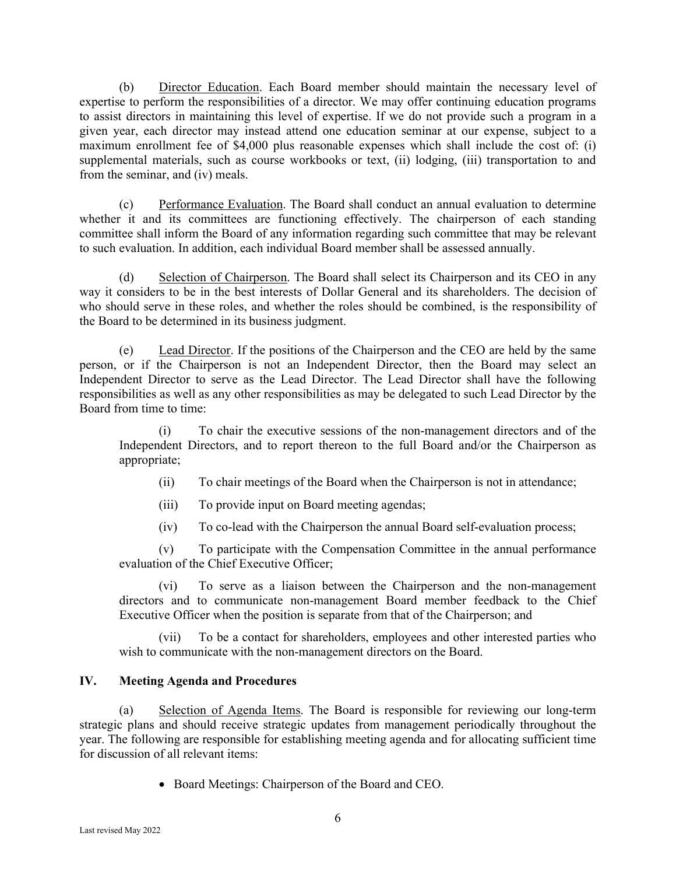(b) Director Education. Each Board member should maintain the necessary level of expertise to perform the responsibilities of a director. We may offer continuing education programs to assist directors in maintaining this level of expertise. If we do not provide such a program in a given year, each director may instead attend one education seminar at our expense, subject to a maximum enrollment fee of \$4,000 plus reasonable expenses which shall include the cost of: (i) supplemental materials, such as course workbooks or text, (ii) lodging, (iii) transportation to and from the seminar, and (iv) meals.

(c) Performance Evaluation. The Board shall conduct an annual evaluation to determine whether it and its committees are functioning effectively. The chairperson of each standing committee shall inform the Board of any information regarding such committee that may be relevant to such evaluation. In addition, each individual Board member shall be assessed annually.

 (d) Selection of Chairperson. The Board shall select its Chairperson and its CEO in any way it considers to be in the best interests of Dollar General and its shareholders. The decision of who should serve in these roles, and whether the roles should be combined, is the responsibility of the Board to be determined in its business judgment.

 (e) Lead Director. If the positions of the Chairperson and the CEO are held by the same person, or if the Chairperson is not an Independent Director, then the Board may select an Independent Director to serve as the Lead Director. The Lead Director shall have the following responsibilities as well as any other responsibilities as may be delegated to such Lead Director by the Board from time to time:

 (i) To chair the executive sessions of the non-management directors and of the Independent Directors, and to report thereon to the full Board and/or the Chairperson as appropriate;

- (ii) To chair meetings of the Board when the Chairperson is not in attendance;
- (iii) To provide input on Board meeting agendas;
- (iv) To co-lead with the Chairperson the annual Board self-evaluation process;

 (v) To participate with the Compensation Committee in the annual performance evaluation of the Chief Executive Officer;

 (vi) To serve as a liaison between the Chairperson and the non-management directors and to communicate non-management Board member feedback to the Chief Executive Officer when the position is separate from that of the Chairperson; and

 (vii) To be a contact for shareholders, employees and other interested parties who wish to communicate with the non-management directors on the Board.

### **IV. Meeting Agenda and Procedures**

 (a) Selection of Agenda Items. The Board is responsible for reviewing our long-term strategic plans and should receive strategic updates from management periodically throughout the year. The following are responsible for establishing meeting agenda and for allocating sufficient time for discussion of all relevant items:

• Board Meetings: Chairperson of the Board and CEO.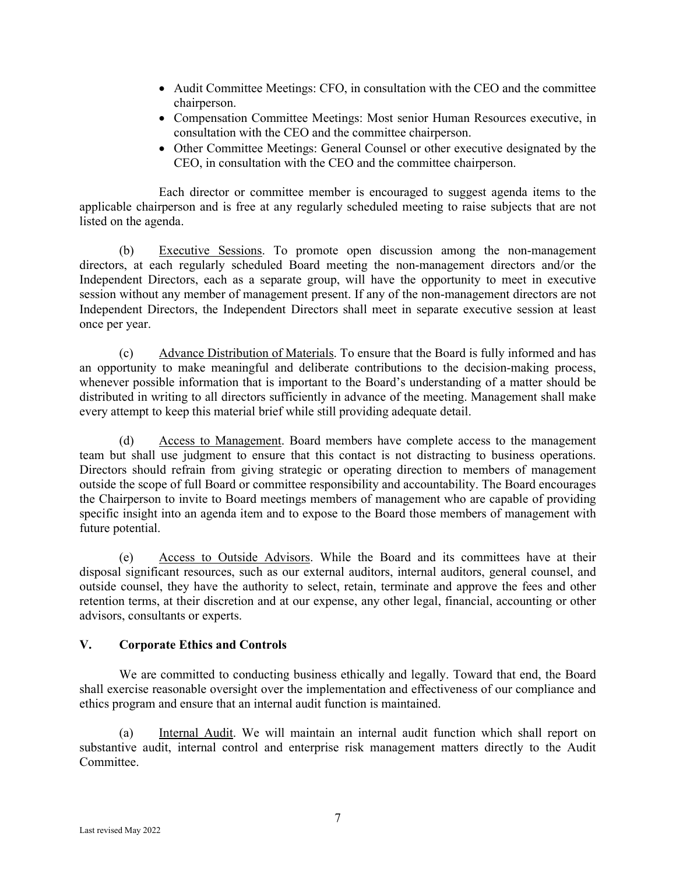- Audit Committee Meetings: CFO, in consultation with the CEO and the committee chairperson.
- Compensation Committee Meetings: Most senior Human Resources executive, in consultation with the CEO and the committee chairperson.
- Other Committee Meetings: General Counsel or other executive designated by the CEO, in consultation with the CEO and the committee chairperson.

Each director or committee member is encouraged to suggest agenda items to the applicable chairperson and is free at any regularly scheduled meeting to raise subjects that are not listed on the agenda.

(b) Executive Sessions. To promote open discussion among the non-management directors, at each regularly scheduled Board meeting the non-management directors and/or the Independent Directors, each as a separate group, will have the opportunity to meet in executive session without any member of management present. If any of the non-management directors are not Independent Directors, the Independent Directors shall meet in separate executive session at least once per year.

(c) Advance Distribution of Materials. To ensure that the Board is fully informed and has an opportunity to make meaningful and deliberate contributions to the decision-making process, whenever possible information that is important to the Board's understanding of a matter should be distributed in writing to all directors sufficiently in advance of the meeting. Management shall make every attempt to keep this material brief while still providing adequate detail.

(d) Access to Management. Board members have complete access to the management team but shall use judgment to ensure that this contact is not distracting to business operations. Directors should refrain from giving strategic or operating direction to members of management outside the scope of full Board or committee responsibility and accountability. The Board encourages the Chairperson to invite to Board meetings members of management who are capable of providing specific insight into an agenda item and to expose to the Board those members of management with future potential.

(e) Access to Outside Advisors. While the Board and its committees have at their disposal significant resources, such as our external auditors, internal auditors, general counsel, and outside counsel, they have the authority to select, retain, terminate and approve the fees and other retention terms, at their discretion and at our expense, any other legal, financial, accounting or other advisors, consultants or experts.

#### **V. Corporate Ethics and Controls**

We are committed to conducting business ethically and legally. Toward that end, the Board shall exercise reasonable oversight over the implementation and effectiveness of our compliance and ethics program and ensure that an internal audit function is maintained.

 (a) Internal Audit. We will maintain an internal audit function which shall report on substantive audit, internal control and enterprise risk management matters directly to the Audit Committee.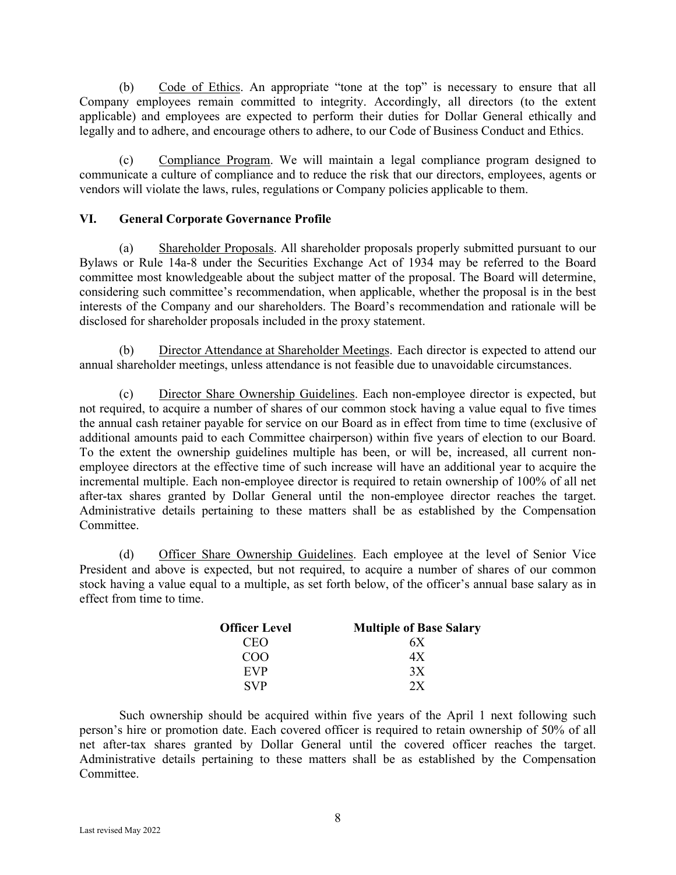(b) Code of Ethics. An appropriate "tone at the top" is necessary to ensure that all Company employees remain committed to integrity. Accordingly, all directors (to the extent applicable) and employees are expected to perform their duties for Dollar General ethically and legally and to adhere, and encourage others to adhere, to our Code of Business Conduct and Ethics.

(c) Compliance Program. We will maintain a legal compliance program designed to communicate a culture of compliance and to reduce the risk that our directors, employees, agents or vendors will violate the laws, rules, regulations or Company policies applicable to them.

### **VI. General Corporate Governance Profile**

 (a) Shareholder Proposals. All shareholder proposals properly submitted pursuant to our Bylaws or Rule 14a-8 under the Securities Exchange Act of 1934 may be referred to the Board committee most knowledgeable about the subject matter of the proposal. The Board will determine, considering such committee's recommendation, when applicable, whether the proposal is in the best interests of the Company and our shareholders. The Board's recommendation and rationale will be disclosed for shareholder proposals included in the proxy statement.

 (b) Director Attendance at Shareholder Meetings. Each director is expected to attend our annual shareholder meetings, unless attendance is not feasible due to unavoidable circumstances.

 (c) Director Share Ownership Guidelines. Each non-employee director is expected, but not required, to acquire a number of shares of our common stock having a value equal to five times the annual cash retainer payable for service on our Board as in effect from time to time (exclusive of additional amounts paid to each Committee chairperson) within five years of election to our Board. To the extent the ownership guidelines multiple has been, or will be, increased, all current nonemployee directors at the effective time of such increase will have an additional year to acquire the incremental multiple. Each non-employee director is required to retain ownership of 100% of all net after-tax shares granted by Dollar General until the non-employee director reaches the target. Administrative details pertaining to these matters shall be as established by the Compensation Committee.

 (d) Officer Share Ownership Guidelines. Each employee at the level of Senior Vice President and above is expected, but not required, to acquire a number of shares of our common stock having a value equal to a multiple, as set forth below, of the officer's annual base salary as in effect from time to time.

| <b>Officer Level</b> | <b>Multiple of Base Salary</b> |
|----------------------|--------------------------------|
| CEO                  | 6 X                            |
| COO                  | 4 X                            |
| EVP                  | 3X                             |
| <b>SVP</b>           | 2x                             |

Such ownership should be acquired within five years of the April 1 next following such person's hire or promotion date. Each covered officer is required to retain ownership of 50% of all net after-tax shares granted by Dollar General until the covered officer reaches the target. Administrative details pertaining to these matters shall be as established by the Compensation Committee.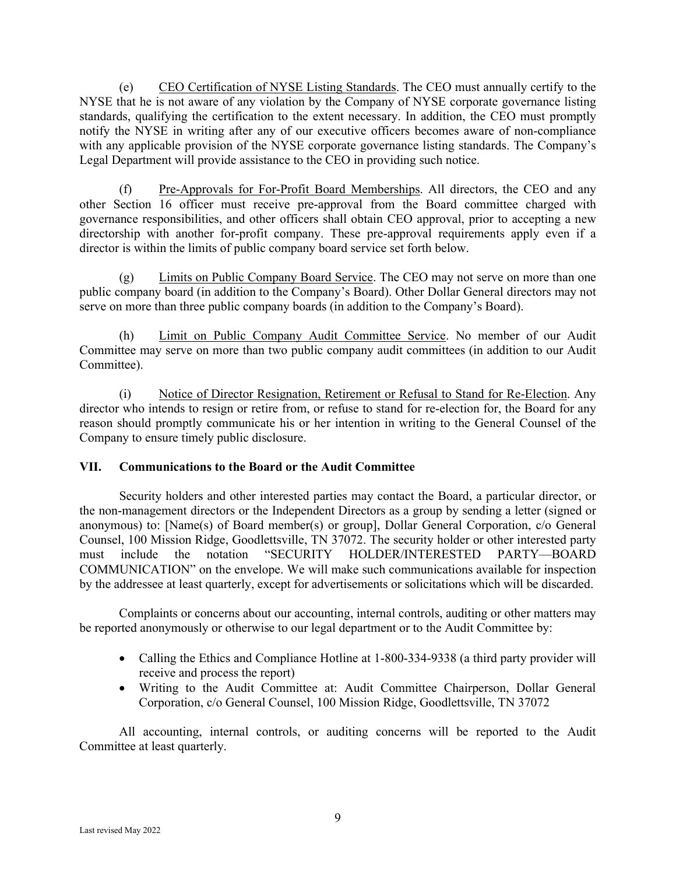(e) CEO Certification of NYSE Listing Standards. The CEO must annually certify to the NYSE that he is not aware of any violation by the Company of NYSE corporate governance listing standards, qualifying the certification to the extent necessary. In addition, the CEO must promptly notify the NYSE in writing after any of our executive officers becomes aware of non-compliance with any applicable provision of the NYSE corporate governance listing standards. The Company's Legal Department will provide assistance to the CEO in providing such notice.

(f) Pre-Approvals for For-Profit Board Memberships. All directors, the CEO and any other Section 16 officer must receive pre-approval from the Board committee charged with governance responsibilities, and other officers shall obtain CEO approval, prior to accepting a new directorship with another for-profit company. These pre-approval requirements apply even if a director is within the limits of public company board service set forth below.

(g) Limits on Public Company Board Service. The CEO may not serve on more than one public company board (in addition to the Company's Board). Other Dollar General directors may not serve on more than three public company boards (in addition to the Company's Board).

(h) Limit on Public Company Audit Committee Service. No member of our Audit Committee may serve on more than two public company audit committees (in addition to our Audit Committee).

(i) Notice of Director Resignation, Retirement or Refusal to Stand for Re-Election. Any director who intends to resign or retire from, or refuse to stand for re-election for, the Board for any reason should promptly communicate his or her intention in writing to the General Counsel of the Company to ensure timely public disclosure.

# **VII. Communications to the Board or the Audit Committee**

Security holders and other interested parties may contact the Board, a particular director, or the non-management directors or the Independent Directors as a group by sending a letter (signed or anonymous) to: [Name(s) of Board member(s) or group], Dollar General Corporation, c/o General Counsel, 100 Mission Ridge, Goodlettsville, TN 37072. The security holder or other interested party must include the notation "SECURITY HOLDER/INTERESTED PARTY—BOARD COMMUNICATION" on the envelope. We will make such communications available for inspection by the addressee at least quarterly, except for advertisements or solicitations which will be discarded.

 Complaints or concerns about our accounting, internal controls, auditing or other matters may be reported anonymously or otherwise to our legal department or to the Audit Committee by:

- Calling the Ethics and Compliance Hotline at 1-800-334-9338 (a third party provider will receive and process the report)
- Writing to the Audit Committee at: Audit Committee Chairperson, Dollar General Corporation, c/o General Counsel, 100 Mission Ridge, Goodlettsville, TN 37072

All accounting, internal controls, or auditing concerns will be reported to the Audit Committee at least quarterly.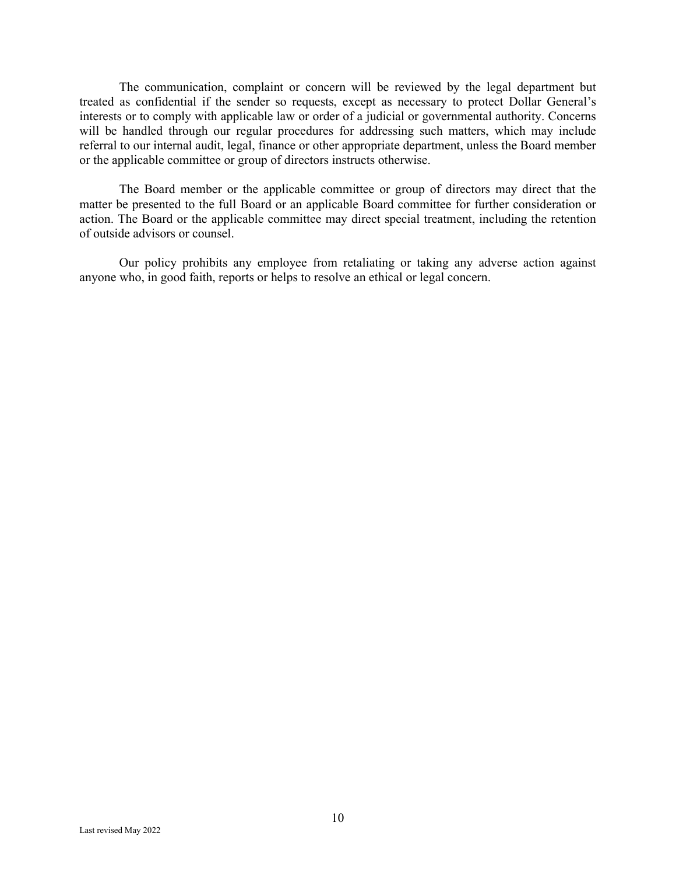The communication, complaint or concern will be reviewed by the legal department but treated as confidential if the sender so requests, except as necessary to protect Dollar General's interests or to comply with applicable law or order of a judicial or governmental authority. Concerns will be handled through our regular procedures for addressing such matters, which may include referral to our internal audit, legal, finance or other appropriate department, unless the Board member or the applicable committee or group of directors instructs otherwise.

The Board member or the applicable committee or group of directors may direct that the matter be presented to the full Board or an applicable Board committee for further consideration or action. The Board or the applicable committee may direct special treatment, including the retention of outside advisors or counsel.

Our policy prohibits any employee from retaliating or taking any adverse action against anyone who, in good faith, reports or helps to resolve an ethical or legal concern.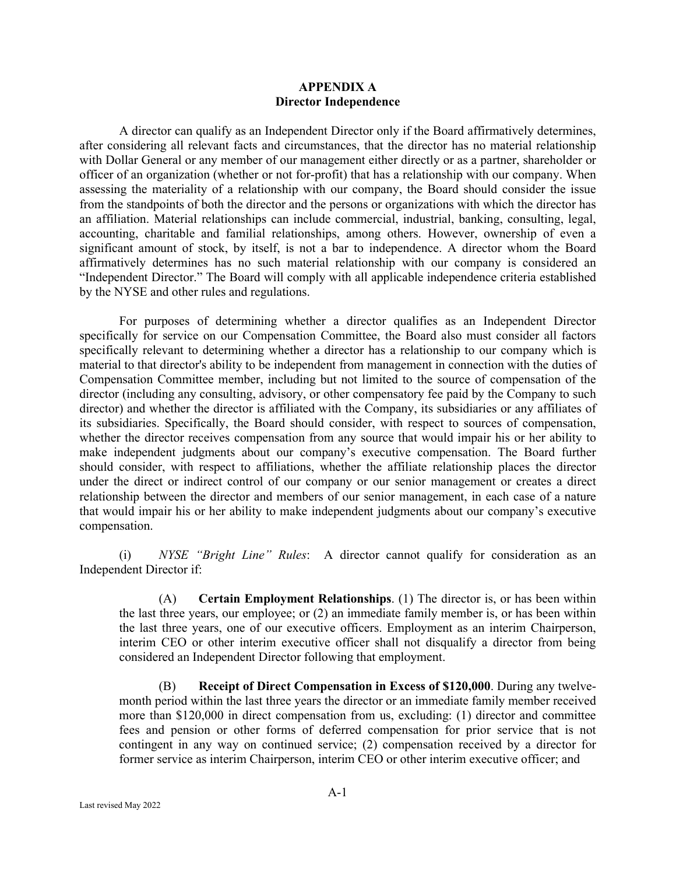#### **APPENDIX A Director Independence**

A director can qualify as an Independent Director only if the Board affirmatively determines, after considering all relevant facts and circumstances, that the director has no material relationship with Dollar General or any member of our management either directly or as a partner, shareholder or officer of an organization (whether or not for-profit) that has a relationship with our company. When assessing the materiality of a relationship with our company, the Board should consider the issue from the standpoints of both the director and the persons or organizations with which the director has an affiliation. Material relationships can include commercial, industrial, banking, consulting, legal, accounting, charitable and familial relationships, among others. However, ownership of even a significant amount of stock, by itself, is not a bar to independence. A director whom the Board affirmatively determines has no such material relationship with our company is considered an "Independent Director." The Board will comply with all applicable independence criteria established by the NYSE and other rules and regulations.

For purposes of determining whether a director qualifies as an Independent Director specifically for service on our Compensation Committee, the Board also must consider all factors specifically relevant to determining whether a director has a relationship to our company which is material to that director's ability to be independent from management in connection with the duties of Compensation Committee member, including but not limited to the source of compensation of the director (including any consulting, advisory, or other compensatory fee paid by the Company to such director) and whether the director is affiliated with the Company, its subsidiaries or any affiliates of its subsidiaries. Specifically, the Board should consider, with respect to sources of compensation, whether the director receives compensation from any source that would impair his or her ability to make independent judgments about our company's executive compensation. The Board further should consider, with respect to affiliations, whether the affiliate relationship places the director under the direct or indirect control of our company or our senior management or creates a direct relationship between the director and members of our senior management, in each case of a nature that would impair his or her ability to make independent judgments about our company's executive compensation.

(i) *NYSE "Bright Line" Rules*: A director cannot qualify for consideration as an Independent Director if:

(A) **Certain Employment Relationships**. (1) The director is, or has been within the last three years, our employee; or (2) an immediate family member is, or has been within the last three years, one of our executive officers. Employment as an interim Chairperson, interim CEO or other interim executive officer shall not disqualify a director from being considered an Independent Director following that employment.

(B) **Receipt of Direct Compensation in Excess of \$120,000**. During any twelvemonth period within the last three years the director or an immediate family member received more than \$120,000 in direct compensation from us, excluding: (1) director and committee fees and pension or other forms of deferred compensation for prior service that is not contingent in any way on continued service; (2) compensation received by a director for former service as interim Chairperson, interim CEO or other interim executive officer; and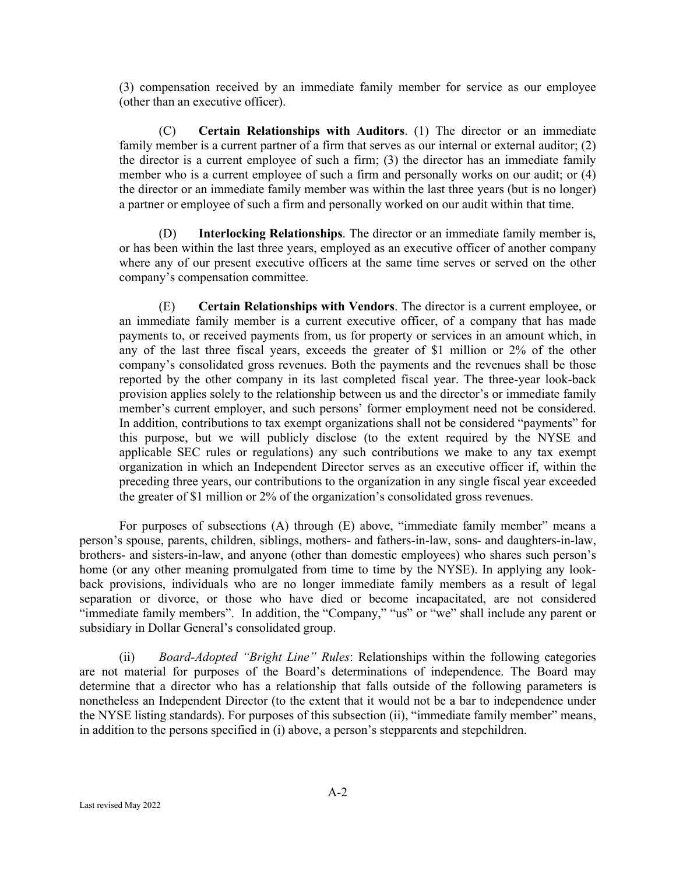(3) compensation received by an immediate family member for service as our employee (other than an executive officer).

(C) **Certain Relationships with Auditors**. (1) The director or an immediate family member is a current partner of a firm that serves as our internal or external auditor; (2) the director is a current employee of such a firm; (3) the director has an immediate family member who is a current employee of such a firm and personally works on our audit; or (4) the director or an immediate family member was within the last three years (but is no longer) a partner or employee of such a firm and personally worked on our audit within that time.

(D) **Interlocking Relationships**. The director or an immediate family member is, or has been within the last three years, employed as an executive officer of another company where any of our present executive officers at the same time serves or served on the other company's compensation committee.

(E) **Certain Relationships with Vendors**. The director is a current employee, or an immediate family member is a current executive officer, of a company that has made payments to, or received payments from, us for property or services in an amount which, in any of the last three fiscal years, exceeds the greater of \$1 million or 2% of the other company's consolidated gross revenues. Both the payments and the revenues shall be those reported by the other company in its last completed fiscal year. The three-year look-back provision applies solely to the relationship between us and the director's or immediate family member's current employer, and such persons' former employment need not be considered. In addition, contributions to tax exempt organizations shall not be considered "payments" for this purpose, but we will publicly disclose (to the extent required by the NYSE and applicable SEC rules or regulations) any such contributions we make to any tax exempt organization in which an Independent Director serves as an executive officer if, within the preceding three years, our contributions to the organization in any single fiscal year exceeded the greater of \$1 million or 2% of the organization's consolidated gross revenues.

For purposes of subsections (A) through (E) above, "immediate family member" means a person's spouse, parents, children, siblings, mothers- and fathers-in-law, sons- and daughters-in-law, brothers- and sisters-in-law, and anyone (other than domestic employees) who shares such person's home (or any other meaning promulgated from time to time by the NYSE). In applying any lookback provisions, individuals who are no longer immediate family members as a result of legal separation or divorce, or those who have died or become incapacitated, are not considered "immediate family members". In addition, the "Company," "us" or "we" shall include any parent or subsidiary in Dollar General's consolidated group.

(ii) *Board-Adopted "Bright Line" Rules*: Relationships within the following categories are not material for purposes of the Board's determinations of independence. The Board may determine that a director who has a relationship that falls outside of the following parameters is nonetheless an Independent Director (to the extent that it would not be a bar to independence under the NYSE listing standards). For purposes of this subsection (ii), "immediate family member" means, in addition to the persons specified in (i) above, a person's stepparents and stepchildren.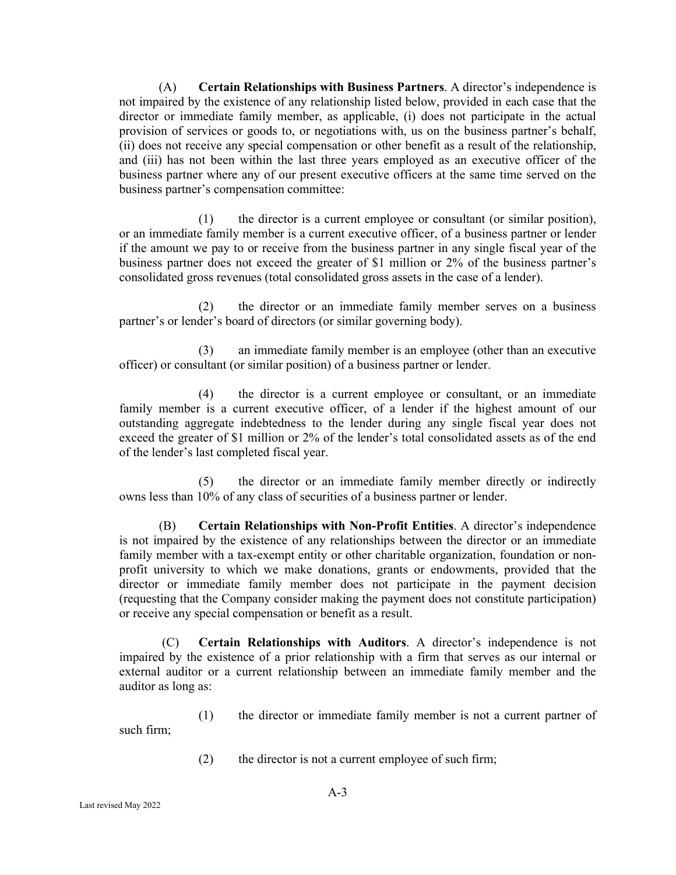(A) **Certain Relationships with Business Partners**. A director's independence is not impaired by the existence of any relationship listed below, provided in each case that the director or immediate family member, as applicable, (i) does not participate in the actual provision of services or goods to, or negotiations with, us on the business partner's behalf, (ii) does not receive any special compensation or other benefit as a result of the relationship, and (iii) has not been within the last three years employed as an executive officer of the business partner where any of our present executive officers at the same time served on the business partner's compensation committee:

(1) the director is a current employee or consultant (or similar position), or an immediate family member is a current executive officer, of a business partner or lender if the amount we pay to or receive from the business partner in any single fiscal year of the business partner does not exceed the greater of \$1 million or 2% of the business partner's consolidated gross revenues (total consolidated gross assets in the case of a lender).

(2) the director or an immediate family member serves on a business partner's or lender's board of directors (or similar governing body).

(3) an immediate family member is an employee (other than an executive officer) or consultant (or similar position) of a business partner or lender.

(4) the director is a current employee or consultant, or an immediate family member is a current executive officer, of a lender if the highest amount of our outstanding aggregate indebtedness to the lender during any single fiscal year does not exceed the greater of \$1 million or 2% of the lender's total consolidated assets as of the end of the lender's last completed fiscal year.

(5) the director or an immediate family member directly or indirectly owns less than 10% of any class of securities of a business partner or lender.

(B) **Certain Relationships with Non-Profit Entities**. A director's independence is not impaired by the existence of any relationships between the director or an immediate family member with a tax-exempt entity or other charitable organization, foundation or nonprofit university to which we make donations, grants or endowments, provided that the director or immediate family member does not participate in the payment decision (requesting that the Company consider making the payment does not constitute participation) or receive any special compensation or benefit as a result.

(C) **Certain Relationships with Auditors**. A director's independence is not impaired by the existence of a prior relationship with a firm that serves as our internal or external auditor or a current relationship between an immediate family member and the auditor as long as:

(1) the director or immediate family member is not a current partner of such firm;

(2) the director is not a current employee of such firm;